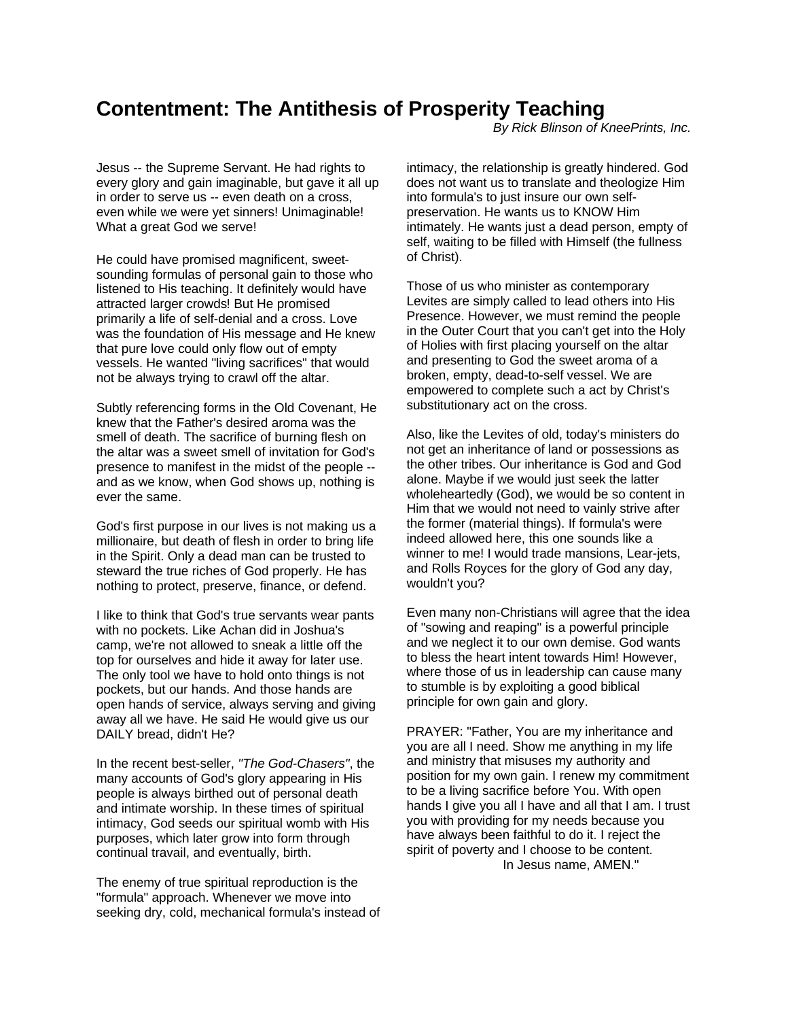## **Contentment: The Antithesis of Prosperity Teaching**

*By Rick Blinson of KneePrints, Inc.*

Jesus -- the Supreme Servant. He had rights to every glory and gain imaginable, but gave it all up in order to serve us -- even death on a cross, even while we were yet sinners! Unimaginable! What a great God we serve!

He could have promised magnificent, sweetsounding formulas of personal gain to those who listened to His teaching. It definitely would have attracted larger crowds! But He promised primarily a life of self-denial and a cross. Love was the foundation of His message and He knew that pure love could only flow out of empty vessels. He wanted "living sacrifices" that would not be always trying to crawl off the altar.

Subtly referencing forms in the Old Covenant, He knew that the Father's desired aroma was the smell of death. The sacrifice of burning flesh on the altar was a sweet smell of invitation for God's presence to manifest in the midst of the people - and as we know, when God shows up, nothing is ever the same.

God's first purpose in our lives is not making us a millionaire, but death of flesh in order to bring life in the Spirit. Only a dead man can be trusted to steward the true riches of God properly. He has nothing to protect, preserve, finance, or defend.

I like to think that God's true servants wear pants with no pockets. Like Achan did in Joshua's camp, we're not allowed to sneak a little off the top for ourselves and hide it away for later use. The only tool we have to hold onto things is not pockets, but our hands. And those hands are open hands of service, always serving and giving away all we have. He said He would give us our DAILY bread, didn't He?

In the recent best-seller, *"The God-Chasers"*, the many accounts of God's glory appearing in His people is always birthed out of personal death and intimate worship. In these times of spiritual intimacy, God seeds our spiritual womb with His purposes, which later grow into form through continual travail, and eventually, birth.

The enemy of true spiritual reproduction is the "formula" approach. Whenever we move into seeking dry, cold, mechanical formula's instead of intimacy, the relationship is greatly hindered. God does not want us to translate and theologize Him into formula's to just insure our own selfpreservation. He wants us to KNOW Him intimately. He wants just a dead person, empty of self, waiting to be filled with Himself (the fullness of Christ).

Those of us who minister as contemporary Levites are simply called to lead others into His Presence. However, we must remind the people in the Outer Court that you can't get into the Holy of Holies with first placing yourself on the altar and presenting to God the sweet aroma of a broken, empty, dead-to-self vessel. We are empowered to complete such a act by Christ's substitutionary act on the cross.

Also, like the Levites of old, today's ministers do not get an inheritance of land or possessions as the other tribes. Our inheritance is God and God alone. Maybe if we would just seek the latter wholeheartedly (God), we would be so content in Him that we would not need to vainly strive after the former (material things). If formula's were indeed allowed here, this one sounds like a winner to me! I would trade mansions, Lear-jets, and Rolls Royces for the glory of God any day, wouldn't you?

Even many non-Christians will agree that the idea of "sowing and reaping" is a powerful principle and we neglect it to our own demise. God wants to bless the heart intent towards Him! However, where those of us in leadership can cause many to stumble is by exploiting a good biblical principle for own gain and glory.

PRAYER: "Father, You are my inheritance and you are all I need. Show me anything in my life and ministry that misuses my authority and position for my own gain. I renew my commitment to be a living sacrifice before You. With open hands I give you all I have and all that I am. I trust you with providing for my needs because you have always been faithful to do it. I reject the spirit of poverty and I choose to be content. In Jesus name, AMEN."